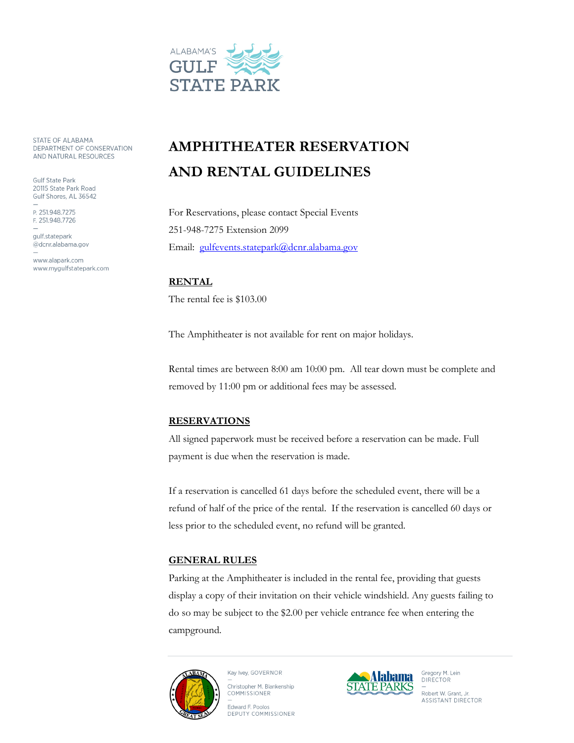

STATE OF ALABAMA DEPARTMENT OF CONSERVATION AND NATURAL RESOURCES

**Gulf State Park** 20115 State Park Road Gulf Shores, AL 36542

P. 251.948.7275 F. 251.948.7726

qulf.statepark @dcnr.alabama.gov

www.alapark.com www.mygulfstatepark.com

## **AMPHITHEATER RESERVATION AND RENTAL GUIDELINES**

For Reservations, please contact Special Events 251-948-7275 Extension 2099 Email: [gulfevents.statepark@dcnr.alabama.gov](mailto:gulfevents.statepark@dcnr.alabama.gov)

**RENTAL** The rental fee is \$103.00

The Amphitheater is not available for rent on major holidays.

Rental times are between 8:00 am 10:00 pm. All tear down must be complete and removed by 11:00 pm or additional fees may be assessed.

## **RESERVATIONS**

All signed paperwork must be received before a reservation can be made. Full payment is due when the reservation is made.

If a reservation is cancelled 61 days before the scheduled event, there will be a refund of half of the price of the rental. If the reservation is cancelled 60 days or less prior to the scheduled event, no refund will be granted.

## **GENERAL RULES**

Parking at the Amphitheater is included in the rental fee, providing that guests display a copy of their invitation on their vehicle windshield. Any guests failing to do so may be subject to the \$2.00 per vehicle entrance fee when entering the campground.



Kay Ivey, GOVERNOR Christopher M. Blankenship COMMISSIONER

Edward F. Poolos DEPUTY COMMISSIONER



Gregory M. Lein **DIRECTOR** Robert W. Grant, Jr. **ASSISTANT DIRECTOR**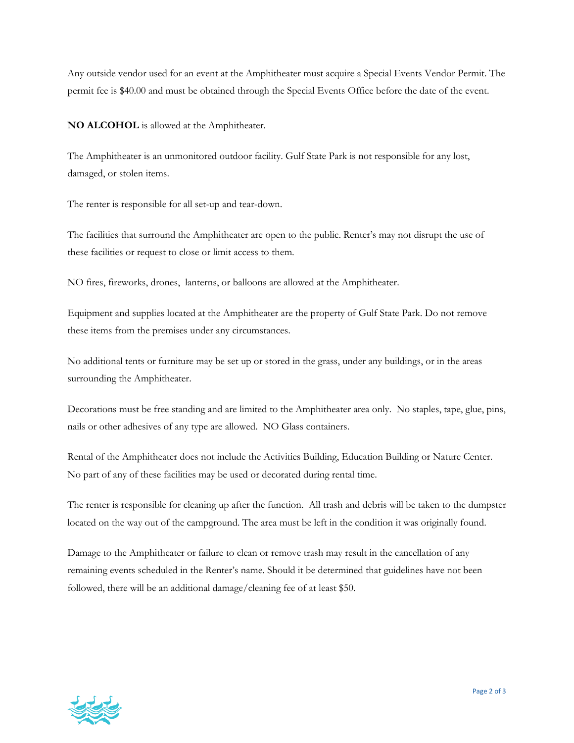Any outside vendor used for an event at the Amphitheater must acquire a Special Events Vendor Permit. The permit fee is \$40.00 and must be obtained through the Special Events Office before the date of the event.

**NO ALCOHOL** is allowed at the Amphitheater.

The Amphitheater is an unmonitored outdoor facility. Gulf State Park is not responsible for any lost, damaged, or stolen items.

The renter is responsible for all set-up and tear-down.

The facilities that surround the Amphitheater are open to the public. Renter's may not disrupt the use of these facilities or request to close or limit access to them.

NO fires, fireworks, drones, lanterns, or balloons are allowed at the Amphitheater.

Equipment and supplies located at the Amphitheater are the property of Gulf State Park. Do not remove these items from the premises under any circumstances.

No additional tents or furniture may be set up or stored in the grass, under any buildings, or in the areas surrounding the Amphitheater.

Decorations must be free standing and are limited to the Amphitheater area only. No staples, tape, glue, pins, nails or other adhesives of any type are allowed. NO Glass containers.

Rental of the Amphitheater does not include the Activities Building, Education Building or Nature Center. No part of any of these facilities may be used or decorated during rental time.

The renter is responsible for cleaning up after the function. All trash and debris will be taken to the dumpster located on the way out of the campground. The area must be left in the condition it was originally found.

Damage to the Amphitheater or failure to clean or remove trash may result in the cancellation of any remaining events scheduled in the Renter's name. Should it be determined that guidelines have not been followed, there will be an additional damage/cleaning fee of at least \$50.